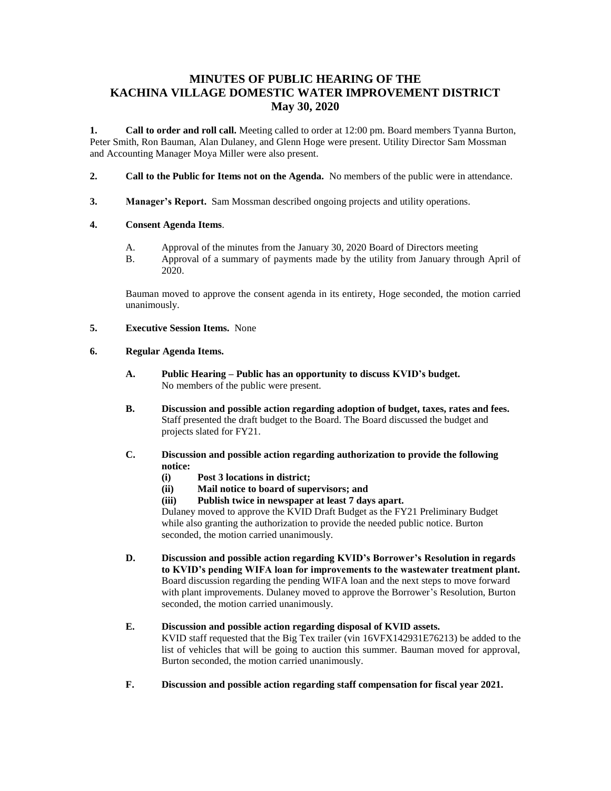# **MINUTES OF PUBLIC HEARING OF THE KACHINA VILLAGE DOMESTIC WATER IMPROVEMENT DISTRICT May 30, 2020**

**1. Call to order and roll call.** Meeting called to order at 12:00 pm. Board members Tyanna Burton, Peter Smith, Ron Bauman, Alan Dulaney, and Glenn Hoge were present. Utility Director Sam Mossman and Accounting Manager Moya Miller were also present.

- **2. Call to the Public for Items not on the Agenda.** No members of the public were in attendance.
- **3. Manager's Report.** Sam Mossman described ongoing projects and utility operations.

#### **4. Consent Agenda Items**.

- A. Approval of the minutes from the January 30, 2020 Board of Directors meeting
- B. Approval of a summary of payments made by the utility from January through April of 2020.

Bauman moved to approve the consent agenda in its entirety, Hoge seconded, the motion carried unanimously.

**5. Executive Session Items.** None

#### **6. Regular Agenda Items.**

- **A. Public Hearing – Public has an opportunity to discuss KVID's budget.** No members of the public were present.
- **B. Discussion and possible action regarding adoption of budget, taxes, rates and fees.** Staff presented the draft budget to the Board. The Board discussed the budget and projects slated for FY21.
- **C. Discussion and possible action regarding authorization to provide the following notice:**
	- **(i) Post 3 locations in district;**
	- **(ii) Mail notice to board of supervisors; and**
	- **(iii) Publish twice in newspaper at least 7 days apart.**

Dulaney moved to approve the KVID Draft Budget as the FY21 Preliminary Budget while also granting the authorization to provide the needed public notice. Burton seconded, the motion carried unanimously.

**D. Discussion and possible action regarding KVID's Borrower's Resolution in regards to KVID's pending WIFA loan for improvements to the wastewater treatment plant.** Board discussion regarding the pending WIFA loan and the next steps to move forward with plant improvements. Dulaney moved to approve the Borrower's Resolution, Burton seconded, the motion carried unanimously.

## **E. Discussion and possible action regarding disposal of KVID assets.**

KVID staff requested that the Big Tex trailer (vin 16VFX142931E76213) be added to the list of vehicles that will be going to auction this summer. Bauman moved for approval, Burton seconded, the motion carried unanimously.

**F. Discussion and possible action regarding staff compensation for fiscal year 2021.**